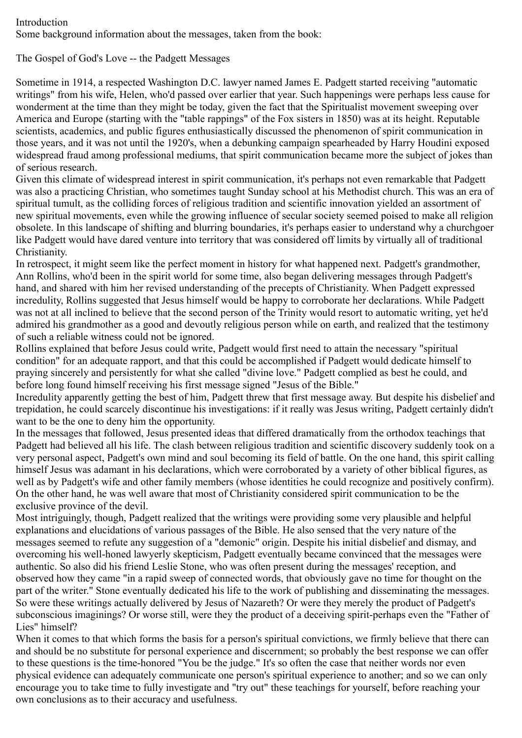## Introduction

Some background information about the messages, taken from the book:

The Gospel of God's Love -- the Padgett Messages

Sometime in 1914, a respected Washington D.C. lawyer named James E. Padgett started receiving "automatic writings" from his wife, Helen, who'd passed over earlier that year. Such happenings were perhaps less cause for wonderment at the time than they might be today, given the fact that the Spiritualist movement sweeping over America and Europe (starting with the "table rappings" of the Fox sisters in 1850) was at its height. Reputable scientists, academics, and public figures enthusiastically discussed the phenomenon of spirit communication in those years, and it was not until the 1920's, when a debunking campaign spearheaded by Harry Houdini exposed widespread fraud among professional mediums, that spirit communication became more the subject of jokes than of serious research.

Given this climate of widespread interest in spirit communication, it's perhaps not even remarkable that Padgett was also a practicing Christian, who sometimes taught Sunday school at his Methodist church. This was an era of spiritual tumult, as the colliding forces of religious tradition and scientific innovation yielded an assortment of new spiritual movements, even while the growing influence of secular society seemed poised to make all religion obsolete. In this landscape of shifting and blurring boundaries, it's perhaps easier to understand why a churchgoer like Padgett would have dared venture into territory that was considered off limits by virtually all of traditional Christianity.

In retrospect, it might seem like the perfect moment in history for what happened next. Padgett's grandmother, Ann Rollins, who'd been in the spirit world for some time, also began delivering messages through Padgett's hand, and shared with him her revised understanding of the precepts of Christianity. When Padgett expressed incredulity, Rollins suggested that Jesus himself would be happy to corroborate her declarations. While Padgett was not at all inclined to believe that the second person of the Trinity would resort to automatic writing, yet he'd admired his grandmother as a good and devoutly religious person while on earth, and realized that the testimony of such a reliable witness could not be ignored.

Rollins explained that before Jesus could write, Padgett would first need to attain the necessary "spiritual condition" for an adequate rapport, and that this could be accomplished if Padgett would dedicate himself to praying sincerely and persistently for what she called "divine love." Padgett complied as best he could, and before long found himself receiving his first message signed "Jesus of the Bible."

Incredulity apparently getting the best of him, Padgett threw that first message away. But despite his disbelief and trepidation, he could scarcely discontinue his investigations: if it really was Jesus writing, Padgett certainly didn't want to be the one to deny him the opportunity.

In the messages that followed, Jesus presented ideas that differed dramatically from the orthodox teachings that Padgett had believed all his life. The clash between religious tradition and scientific discovery suddenly took on a very personal aspect, Padgett's own mind and soul becoming its field of battle. On the one hand, this spirit calling himself Jesus was adamant in his declarations, which were corroborated by a variety of other biblical figures, as well as by Padgett's wife and other family members (whose identities he could recognize and positively confirm). On the other hand, he was well aware that most of Christianity considered spirit communication to be the exclusive province of the devil.

Most intriguingly, though, Padgett realized that the writings were providing some very plausible and helpful explanations and elucidations of various passages of the Bible. He also sensed that the very nature of the messages seemed to refute any suggestion of a "demonic" origin. Despite his initial disbelief and dismay, and overcoming his well-honed lawyerly skepticism, Padgett eventually became convinced that the messages were authentic. So also did his friend Leslie Stone, who was often present during the messages' reception, and observed how they came "in a rapid sweep of connected words, that obviously gave no time for thought on the part of the writer." Stone eventually dedicated his life to the work of publishing and disseminating the messages. So were these writings actually delivered by Jesus of Nazareth? Or were they merely the product of Padgett's subconscious imaginings? Or worse still, were they the product of a deceiving spirit-perhaps even the "Father of Lies" himself?

When it comes to that which forms the basis for a person's spiritual convictions, we firmly believe that there can and should be no substitute for personal experience and discernment; so probably the best response we can offer to these questions is the time-honored "You be the judge." It's so often the case that neither words nor even physical evidence can adequately communicate one person's spiritual experience to another; and so we can only encourage you to take time to fully investigate and "try out" these teachings for yourself, before reaching your own conclusions as to their accuracy and usefulness.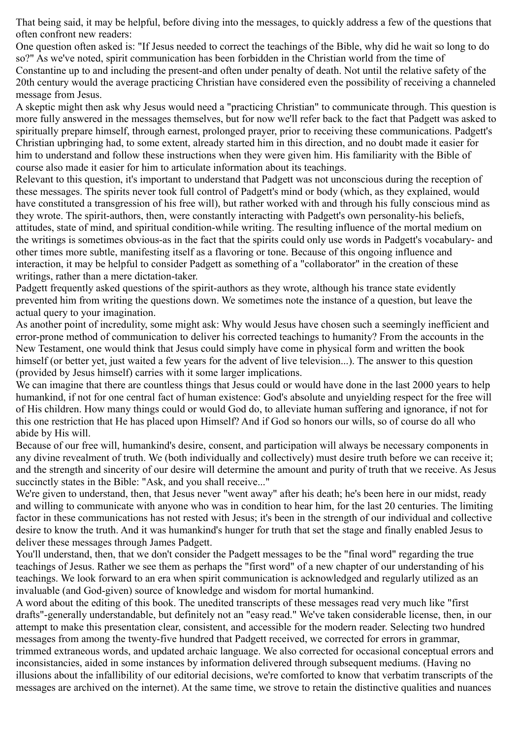That being said, it may be helpful, before diving into the messages, to quickly address a few of the questions that often confront new readers:

One question often asked is: "If Jesus needed to correct the teachings of the Bible, why did he wait so long to do so?" As we've noted, spirit communication has been forbidden in the Christian world from the time of Constantine up to and including the present-and often under penalty of death. Not until the relative safety of the 20th century would the average practicing Christian have considered even the possibility of receiving a channeled message from Jesus.

A skeptic might then ask why Jesus would need a "practicing Christian" to communicate through. This question is more fully answered in the messages themselves, but for now we'll refer back to the fact that Padgett was asked to spiritually prepare himself, through earnest, prolonged prayer, prior to receiving these communications. Padgett's Christian upbringing had, to some extent, already started him in this direction, and no doubt made it easier for him to understand and follow these instructions when they were given him. His familiarity with the Bible of course also made it easier for him to articulate information about its teachings.

Relevant to this question, it's important to understand that Padgett was not unconscious during the reception of these messages. The spirits never took full control of Padgett's mind or body (which, as they explained, would have constituted a transgression of his free will), but rather worked with and through his fully conscious mind as they wrote. The spirit-authors, then, were constantly interacting with Padgett's own personality-his beliefs, attitudes, state of mind, and spiritual condition-while writing. The resulting influence of the mortal medium on the writings is sometimes obvious-as in the fact that the spirits could only use words in Padgett's vocabulary- and other times more subtle, manifesting itself as a flavoring or tone. Because of this ongoing influence and interaction, it may be helpful to consider Padgett as something of a "collaborator" in the creation of these writings, rather than a mere dictation-taker.

Padgett frequently asked questions of the spirit-authors as they wrote, although his trance state evidently prevented him from writing the questions down. We sometimes note the instance of a question, but leave the actual query to your imagination.

As another point of incredulity, some might ask: Why would Jesus have chosen such a seemingly inefficient and error-prone method of communication to deliver his corrected teachings to humanity? From the accounts in the New Testament, one would think that Jesus could simply have come in physical form and written the book himself (or better yet, just waited a few years for the advent of live television...). The answer to this question (provided by Jesus himself) carries with it some larger implications.

We can imagine that there are countless things that Jesus could or would have done in the last 2000 years to help humankind, if not for one central fact of human existence: God's absolute and unyielding respect for the free will of His children. How many things could or would God do, to alleviate human suffering and ignorance, if not for this one restriction that He has placed upon Himself? And if God so honors our wills, so of course do all who abide by His will.

Because of our free will, humankind's desire, consent, and participation will always be necessary components in any divine revealment of truth. We (both individually and collectively) must desire truth before we can receive it; and the strength and sincerity of our desire will determine the amount and purity of truth that we receive. As Jesus succinctly states in the Bible: "Ask, and you shall receive..."

We're given to understand, then, that Jesus never "went away" after his death; he's been here in our midst, ready and willing to communicate with anyone who was in condition to hear him, for the last 20 centuries. The limiting factor in these communications has not rested with Jesus; it's been in the strength of our individual and collective desire to know the truth. And it was humankind's hunger for truth that set the stage and finally enabled Jesus to deliver these messages through James Padgett.

You'll understand, then, that we don't consider the Padgett messages to be the "final word" regarding the true teachings of Jesus. Rather we see them as perhaps the "first word" of a new chapter of our understanding of his teachings. We look forward to an era when spirit communication is acknowledged and regularly utilized as an invaluable (and God-given) source of knowledge and wisdom for mortal humankind.

A word about the editing of this book. The unedited transcripts of these messages read very much like "first drafts"-generally understandable, but definitely not an "easy read." We've taken considerable license, then, in our attempt to make this presentation clear, consistent, and accessible for the modern reader. Selecting two hundred messages from among the twenty-five hundred that Padgett received, we corrected for errors in grammar, trimmed extraneous words, and updated archaic language. We also corrected for occasional conceptual errors and inconsistancies, aided in some instances by information delivered through subsequent mediums. (Having no illusions about the infallibility of our editorial decisions, we're comforted to know that verbatim transcripts of the messages are archived on the internet). At the same time, we strove to retain the distinctive qualities and nuances